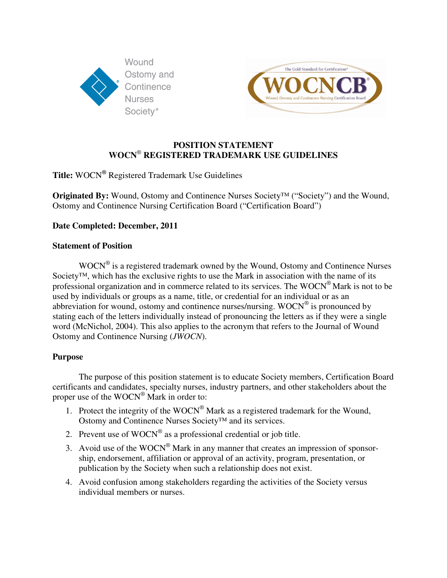



## **POSITION STATEMENT WOCN**®  **REGISTERED TRADEMARK USE GUIDELINES**

**Title:** WOCN**®** Registered Trademark Use Guidelines

**Originated By:** Wound, Ostomy and Continence Nurses Society™ ("Society") and the Wound, Ostomy and Continence Nursing Certification Board ("Certification Board")

# **Date Completed: December, 2011**

### **Statement of Position**

 $WOCN^{\circledast}$  is a registered trademark owned by the Wound, Ostomy and Continence Nurses Society<sup>™</sup>, which has the exclusive rights to use the Mark in association with the name of its professional organization and in commerce related to its services. The WOCN® Mark is not to be used by individuals or groups as a name, title, or credential for an individual or as an abbreviation for wound, ostomy and continence nurses/nursing. WOCN® is pronounced by stating each of the letters individually instead of pronouncing the letters as if they were a single word (McNichol, 2004). This also applies to the acronym that refers to the Journal of Wound Ostomy and Continence Nursing (*JWOCN*).

## **Purpose**

The purpose of this position statement is to educate Society members, Certification Board certificants and candidates, specialty nurses, industry partners, and other stakeholders about the proper use of the WOCN® Mark in order to:

- 1. Protect the integrity of the WOCN® Mark as a registered trademark for the Wound, Ostomy and Continence Nurses Society™ and its services.
- 2. Prevent use of WOCN<sup>®</sup> as a professional credential or job title.
- 3. Avoid use of the WOCN<sup>®</sup> Mark in any manner that creates an impression of sponsorship, endorsement, affiliation or approval of an activity, program, presentation, or publication by the Society when such a relationship does not exist.
- 4. Avoid confusion among stakeholders regarding the activities of the Society versus individual members or nurses.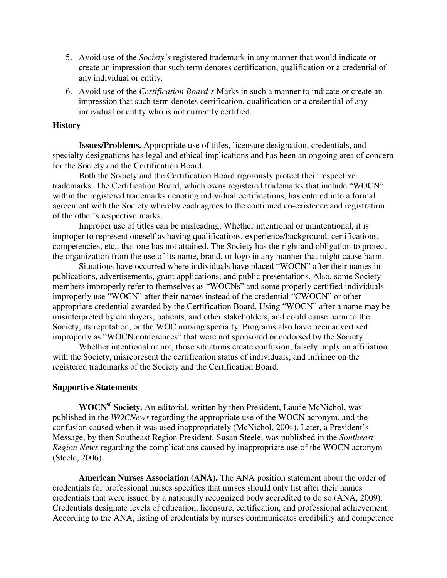- 5. Avoid use of the *Society's* registered trademark in any manner that would indicate or create an impression that such term denotes certification, qualification or a credential of any individual or entity.
- 6. Avoid use of the *Certification Board's* Marks in such a manner to indicate or create an impression that such term denotes certification, qualification or a credential of any individual or entity who is not currently certified.

#### **History**

**Issues/Problems.** Appropriate use of titles, licensure designation, credentials, and specialty designations has legal and ethical implications and has been an ongoing area of concern for the Society and the Certification Board.

Both the Society and the Certification Board rigorously protect their respective trademarks. The Certification Board, which owns registered trademarks that include "WOCN" within the registered trademarks denoting individual certifications, has entered into a formal agreement with the Society whereby each agrees to the continued co-existence and registration of the other's respective marks.

Improper use of titles can be misleading. Whether intentional or unintentional, it is improper to represent oneself as having qualifications, experience/background, certifications, competencies, etc., that one has not attained. The Society has the right and obligation to protect the organization from the use of its name, brand, or logo in any manner that might cause harm.

Situations have occurred where individuals have placed "WOCN" after their names in publications, advertisements, grant applications, and public presentations. Also, some Society members improperly refer to themselves as "WOCNs" and some properly certified individuals improperly use "WOCN" after their names instead of the credential "CWOCN" or other appropriate credential awarded by the Certification Board. Using "WOCN" after a name may be misinterpreted by employers, patients, and other stakeholders, and could cause harm to the Society, its reputation, or the WOC nursing specialty. Programs also have been advertised improperly as "WOCN conferences" that were not sponsored or endorsed by the Society.

Whether intentional or not, those situations create confusion, falsely imply an affiliation with the Society, misrepresent the certification status of individuals, and infringe on the registered trademarks of the Society and the Certification Board.

#### **Supportive Statements**

**WOCN® Society.** An editorial, written by then President, Laurie McNichol, was published in the *WOCNews* regarding the appropriate use of the WOCN acronym, and the confusion caused when it was used inappropriately (McNichol, 2004). Later, a President's Message, by then Southeast Region President, Susan Steele, was published in the *Southeast Region News* regarding the complications caused by inappropriate use of the WOCN acronym (Steele, 2006).

**American Nurses Association (ANA).** The ANA position statement about the order of credentials for professional nurses specifies that nurses should only list after their names credentials that were issued by a nationally recognized body accredited to do so (ANA, 2009). Credentials designate levels of education, licensure, certification, and professional achievement. According to the ANA, listing of credentials by nurses communicates credibility and competence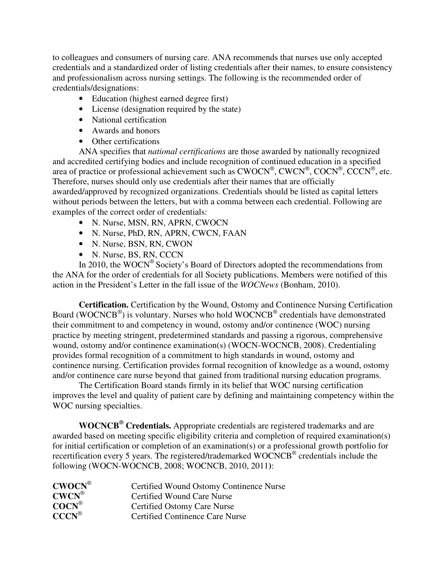to colleagues and consumers of nursing care. ANA recommends that nurses use only accepted credentials and a standardized order of listing credentials after their names, to ensure consistency and professionalism across nursing settings. The following is the recommended order of credentials/designations:

- Education (highest earned degree first)
- License (designation required by the state)
- National certification
- Awards and honors
- Other certifications

ANA specifies that *national certifications* are those awarded by nationally recognized and accredited certifying bodies and include recognition of continued education in a specified area of practice or professional achievement such as  $CWOCN^{\circledast}$ ,  $CWCN^{\circledast}$ ,  $COCN^{\circledast}$ ,  $CCCN^{\circledast}$ , etc. Therefore, nurses should only use credentials after their names that are officially awarded/approved by recognized organizations. Credentials should be listed as capital letters without periods between the letters, but with a comma between each credential. Following are examples of the correct order of credentials:

- N. Nurse, MSN, RN, APRN, CWOCN
- N. Nurse, PhD, RN, APRN, CWCN, FAAN
- N. Nurse, BSN, RN, CWON
- N. Nurse, BS, RN, CCCN

In 2010, the WOCN® Society's Board of Directors adopted the recommendations from the ANA for the order of credentials for all Society publications. Members were notified of this action in the President's Letter in the fall issue of the *WOCNews* (Bonham, 2010).

**Certification.** Certification by the Wound, Ostomy and Continence Nursing Certification Board (WOCNCB<sup>®</sup>) is voluntary. Nurses who hold WOCNCB<sup>®</sup> credentials have demonstrated their commitment to and competency in wound, ostomy and/or continence (WOC) nursing practice by meeting stringent, predetermined standards and passing a rigorous, comprehensive wound, ostomy and/or continence examination(s) (WOCN-WOCNCB, 2008). Credentialing provides formal recognition of a commitment to high standards in wound, ostomy and continence nursing. Certification provides formal recognition of knowledge as a wound, ostomy and/or continence care nurse beyond that gained from traditional nursing education programs.

The Certification Board stands firmly in its belief that WOC nursing certification improves the level and quality of patient care by defining and maintaining competency within the WOC nursing specialties.

**WOCNCB® Credentials.** Appropriate credentials are registered trademarks and are awarded based on meeting specific eligibility criteria and completion of required examination(s) for initial certification or completion of an examination(s) or a professional growth portfolio for recertification every 5 years. The registered/trademarked WOCNCB<sup>®</sup> credentials include the following (WOCN-WOCNCB, 2008; WOCNCB, 2010, 2011**)**:

| $CWOCN^{\circledR}$ | Certified Wound Ostomy Continence Nurse |
|---------------------|-----------------------------------------|
| $CWCN^{\circledR}$  | Certified Wound Care Nurse              |
| $COCN^{\circledR}$  | <b>Certified Ostomy Care Nurse</b>      |
| $CCCN^{\circledR}$  | <b>Certified Continence Care Nurse</b>  |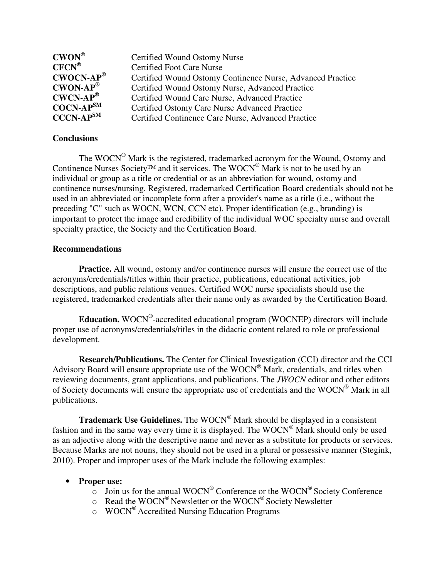| $CWON^@$              | Certified Wound Ostomy Nurse                               |
|-----------------------|------------------------------------------------------------|
| $CFCN^{\circledR}$    | <b>Certified Foot Care Nurse</b>                           |
| $CWOCN-AP^*$          | Certified Wound Ostomy Continence Nurse, Advanced Practice |
| $CWON-AP^*$           | Certified Wound Ostomy Nurse, Advanced Practice            |
| $CWCN-AP^{\circledR}$ | Certified Wound Care Nurse, Advanced Practice              |
| $COCN-AP^{SM}$        | Certified Ostomy Care Nurse Advanced Practice              |
| $CCCN-AP^{SM}$        | Certified Continence Care Nurse, Advanced Practice         |

#### **Conclusions**

The WOCN® Mark is the registered, trademarked acronym for the Wound, Ostomy and Continence Nurses Society<sup>™</sup> and it services. The WOCN<sup>®</sup> Mark is not to be used by an individual or group as a title or credential or as an abbreviation for wound, ostomy and continence nurses/nursing. Registered, trademarked Certification Board credentials should not be used in an abbreviated or incomplete form after a provider's name as a title (i.e., without the preceding "C" such as WOCN, WCN, CCN etc). Proper identification (e.g., branding) is important to protect the image and credibility of the individual WOC specialty nurse and overall specialty practice, the Society and the Certification Board.

#### **Recommendations**

**Practice.** All wound, ostomy and/or continence nurses will ensure the correct use of the acronyms/credentials/titles within their practice, publications, educational activities, job descriptions, and public relations venues. Certified WOC nurse specialists should use the registered, trademarked credentials after their name only as awarded by the Certification Board.

**Education.** WOCN® -accredited educational program (WOCNEP) directors will include proper use of acronyms/credentials/titles in the didactic content related to role or professional development.

**Research/Publications.** The Center for Clinical Investigation (CCI) director and the CCI Advisory Board will ensure appropriate use of the WOCN® Mark, credentials, and titles when reviewing documents, grant applications, and publications. The *JWOCN* editor and other editors of Society documents will ensure the appropriate use of credentials and the WOCN® Mark in all publications.

**Trademark Use Guidelines.** The WOCN® Mark should be displayed in a consistent fashion and in the same way every time it is displayed. The WOCN® Mark should only be used as an adjective along with the descriptive name and never as a substitute for products or services. Because Marks are not nouns, they should not be used in a plural or possessive manner (Stegink, 2010). Proper and improper uses of the Mark include the following examples:

### • **Proper use:**

- $\overline{\text{o}}$  Join us for the annual WOCN<sup>®</sup> Conference or the WOCN<sup>®</sup> Society Conference
- o Read the WOCN® Newsletter or the WOCN® Society Newsletter
- o WOCN® Accredited Nursing Education Programs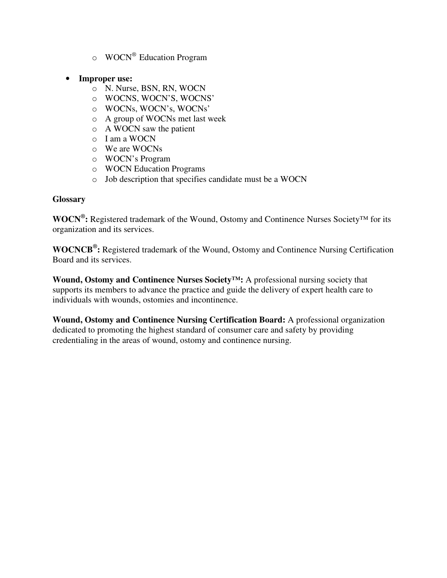- o WOCN® Education Program
- **Improper use:** 
	- o N. Nurse, BSN, RN, WOCN
	- o WOCNS, WOCN'S, WOCNS'
	- o WOCNs, WOCN's, WOCNs'
	- o A group of WOCNs met last week
	- o A WOCN saw the patient
	- o I am a WOCN
	- o We are WOCNs
	- o WOCN's Program
	- o WOCN Education Programs
	- o Job description that specifies candidate must be a WOCN

### **Glossary**

**WOCN® :** Registered trademark of the Wound, Ostomy and Continence Nurses Society™ for its organization and its services.

**WOCNCB® :** Registered trademark of the Wound, Ostomy and Continence Nursing Certification Board and its services.

**Wound, Ostomy and Continence Nurses Society™:** A professional nursing society that supports its members to advance the practice and guide the delivery of expert health care to individuals with wounds, ostomies and incontinence.

**Wound, Ostomy and Continence Nursing Certification Board:** A professional organization dedicated to promoting the highest standard of consumer care and safety by providing credentialing in the areas of wound, ostomy and continence nursing.